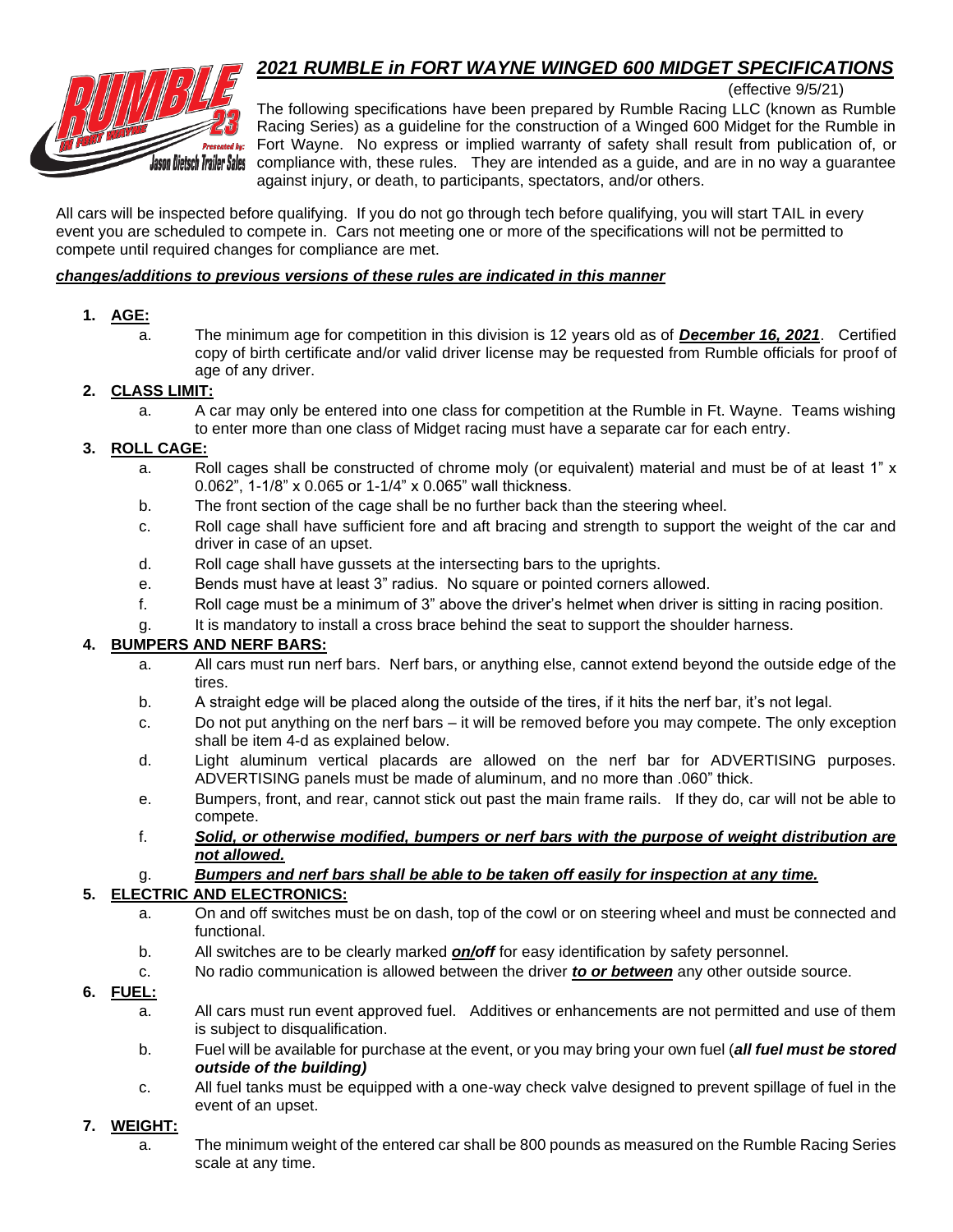# *2021 RUMBLE in FORT WAYNE WINGED 600 MIDGET SPECIFICATIONS*



(effective 9/5/21)

The following specifications have been prepared by Rumble Racing LLC (known as Rumble Racing Series) as a guideline for the construction of a Winged 600 Midget for the Rumble in Fort Wayne. No express or implied warranty of safety shall result from publication of, or compliance with, these rules. They are intended as a guide, and are in no way a guarantee against injury, or death, to participants, spectators, and/or others.

All cars will be inspected before qualifying. If you do not go through tech before qualifying, you will start TAIL in every event you are scheduled to compete in. Cars not meeting one or more of the specifications will not be permitted to compete until required changes for compliance are met.

#### *changes/additions to previous versions of these rules are indicated in this manner*

## **1. AGE:**

a. The minimum age for competition in this division is 12 years old as of *December 16, 2021*. Certified copy of birth certificate and/or valid driver license may be requested from Rumble officials for proof of age of any driver.

## **2. CLASS LIMIT:**

a. A car may only be entered into one class for competition at the Rumble in Ft. Wayne. Teams wishing to enter more than one class of Midget racing must have a separate car for each entry.

## **3. ROLL CAGE:**

- a. Roll cages shall be constructed of chrome moly (or equivalent) material and must be of at least 1" x 0.062", 1-1/8" x 0.065 or 1-1/4" x 0.065" wall thickness.
- b. The front section of the cage shall be no further back than the steering wheel.
- c. Roll cage shall have sufficient fore and aft bracing and strength to support the weight of the car and driver in case of an upset.
- d. Roll cage shall have gussets at the intersecting bars to the uprights.
- e. Bends must have at least 3" radius. No square or pointed corners allowed.
- f. Roll cage must be a minimum of 3" above the driver's helmet when driver is sitting in racing position.
- g. It is mandatory to install a cross brace behind the seat to support the shoulder harness.

## **4. BUMPERS AND NERF BARS:**

- a. All cars must run nerf bars. Nerf bars, or anything else, cannot extend beyond the outside edge of the tires.
- b. A straight edge will be placed along the outside of the tires, if it hits the nerf bar, it's not legal.
- c. Do not put anything on the nerf bars it will be removed before you may compete. The only exception shall be item 4-d as explained below.
- d. Light aluminum vertical placards are allowed on the nerf bar for ADVERTISING purposes. ADVERTISING panels must be made of aluminum, and no more than .060" thick.
- e. Bumpers, front, and rear, cannot stick out past the main frame rails. If they do, car will not be able to compete.
- f. *Solid, or otherwise modified, bumpers or nerf bars with the purpose of weight distribution are not allowed.*

#### g. *Bumpers and nerf bars shall be able to be taken off easily for inspection at any time.*

#### **5. ELECTRIC AND ELECTRONICS:**

- a. On and off switches must be on dash, top of the cowl or on steering wheel and must be connected and functional.
- b. All switches are to be clearly marked *on/off* for easy identification by safety personnel.
- c. No radio communication is allowed between the driver *to or between* any other outside source.

## **6. FUEL:**

- a. All cars must run event approved fuel. Additives or enhancements are not permitted and use of them is subject to disqualification.
- b. Fuel will be available for purchase at the event, or you may bring your own fuel (*all fuel must be stored outside of the building)*
- c. All fuel tanks must be equipped with a one-way check valve designed to prevent spillage of fuel in the event of an upset.

#### **7. WEIGHT:**

a. The minimum weight of the entered car shall be 800 pounds as measured on the Rumble Racing Series scale at any time.